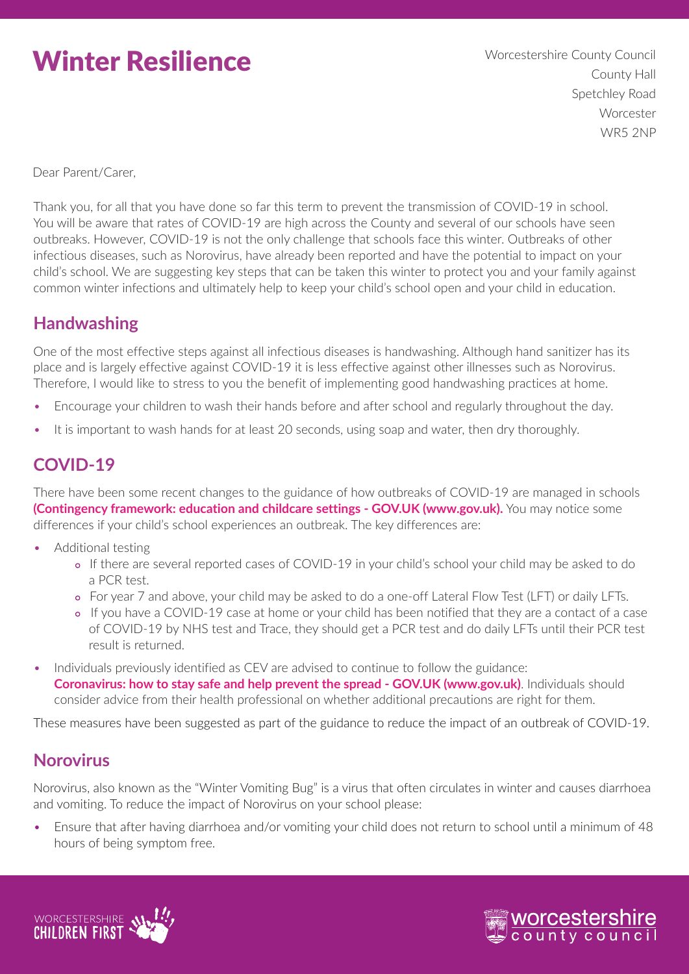# Winter Resilience

 Worcestershire County Council County Hall Spetchley Road Worcester WR5 2NP

Dear Parent/Carer,

Thank you, for all that you have done so far this term to prevent the transmission of COVID-19 in school. You will be aware that rates of COVID-19 are high across the County and several of our schools have seen outbreaks. However, COVID-19 is not the only challenge that schools face this winter. Outbreaks of other infectious diseases, such as Norovirus, have already been reported and have the potential to impact on your child's school. We are suggesting key steps that can be taken this winter to protect you and your family against common winter infections and ultimately help to keep your child's school open and your child in education.

### **Handwashing**

One of the most effective steps against all infectious diseases is handwashing. Although hand sanitizer has its place and is largely effective against COVID-19 it is less effective against other illnesses such as Norovirus. Therefore, I would like to stress to you the benefit of implementing good handwashing practices at home.

- Encourage your children to wash their hands before and after school and regularly throughout the day.
- It is important to wash hands for at least 20 seconds, using soap and water, then dry thoroughly.

## **COVID-19**

There have been some recent changes to the guidance of how outbreaks of COVID-19 are managed in schools **[\(Contingency framework: education and childcare settings - GOV.UK \(www.gov.uk\).](https://www.gov.uk/government/publications/coronavirus-covid-19-local-restrictions-in-education-and-childcare-settings/contingency-framework-education-and-childcare-settings)** You may notice some differences if your child's school experiences an outbreak. The key differences are:

- Additional testing
	- If there are several reported cases of COVID-19 in your child's school your child may be asked to do a PCR test.
	- For year 7 and above, your child may be asked to do a one-off Lateral Flow Test (LFT) or daily LFTs.
	- **•** If you have a COVID-19 case at home or your child has been notified that they are a contact of a case of COVID-19 by NHS test and Trace, they should get a PCR test and do daily LFTs until their PCR test result is returned.
- Individuals previously identified as CEV are advised to continue to follow the guidance: **[Coronavirus: how to stay safe and help prevent the spread - GOV.UK \(www.gov.uk\)](https://www.gov.uk/guidance/covid-19-coronavirus-restrictions-what-you-can-and-cannot-do)**. Individuals should consider advice from their health professional on whether additional precautions are right for them.

These measures have been suggested as part of the guidance to reduce the impact of an outbreak of COVID-19.

#### **Norovirus**

Norovirus, also known as the "Winter Vomiting Bug" is a virus that often circulates in winter and causes diarrhoea and vomiting. To reduce the impact of Norovirus on your school please:

• Ensure that after having diarrhoea and/or vomiting your child does not return to school until a minimum of 48 hours of being symptom free.